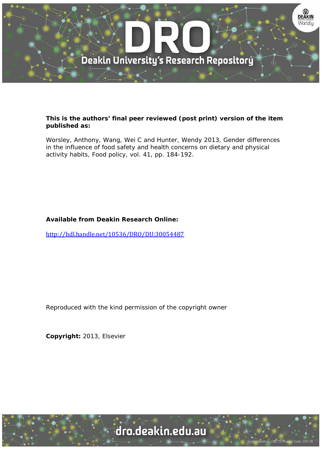

# **This is the authors' final peer reviewed (post print) version of the item published as:**

Worsley, Anthony, Wang, Wei C and Hunter, Wendy 2013, Gender differences in the influence of food safety and health concerns on dietary and physical activity habits, Food policy, vol. 41, pp. 184-192.

# **Available from Deakin Research Online:**

http://hdl.handle.net/10536/DRO/DU:30054487

Reproduced with the kind permission of the copyright owner

**Copyright:** 2013, Elsevier

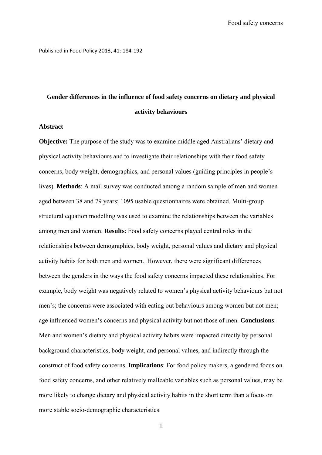Published in Food Policy 2013, 41: 184‐192

# **Gender differences in the influence of food safety concerns on dietary and physical activity behaviours**

#### **Abstract**

**Objective:** The purpose of the study was to examine middle aged Australians' dietary and physical activity behaviours and to investigate their relationships with their food safety concerns, body weight, demographics, and personal values (guiding principles in people's lives). **Methods**: A mail survey was conducted among a random sample of men and women aged between 38 and 79 years; 1095 usable questionnaires were obtained. Multi-group structural equation modelling was used to examine the relationships between the variables among men and women. **Results**: Food safety concerns played central roles in the relationships between demographics, body weight, personal values and dietary and physical activity habits for both men and women. However, there were significant differences between the genders in the ways the food safety concerns impacted these relationships. For example, body weight was negatively related to women's physical activity behaviours but not men's; the concerns were associated with eating out behaviours among women but not men; age influenced women's concerns and physical activity but not those of men. **Conclusions**: Men and women's dietary and physical activity habits were impacted directly by personal background characteristics, body weight, and personal values, and indirectly through the construct of food safety concerns. **Implications**: For food policy makers, a gendered focus on food safety concerns, and other relatively malleable variables such as personal values, may be more likely to change dietary and physical activity habits in the short term than a focus on more stable socio-demographic characteristics.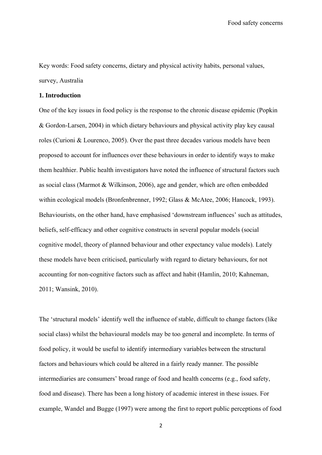Key words: Food safety concerns, dietary and physical activity habits, personal values, survey, Australia

### **1. Introduction**

One of the key issues in food policy is the response to the chronic disease epidemic (Popkin & Gordon-Larsen, 2004) in which dietary behaviours and physical activity play key causal roles (Curioni & Lourenco, 2005). Over the past three decades various models have been proposed to account for influences over these behaviours in order to identify ways to make them healthier. Public health investigators have noted the influence of structural factors such as social class (Marmot & Wilkinson, 2006), age and gender, which are often embedded within ecological models (Bronfenbrenner, 1992; Glass & McAtee, 2006; Hancock, 1993). Behaviourists, on the other hand, have emphasised 'downstream influences' such as attitudes, beliefs, self-efficacy and other cognitive constructs in several popular models (social cognitive model, theory of planned behaviour and other expectancy value models). Lately these models have been criticised, particularly with regard to dietary behaviours, for not accounting for non-cognitive factors such as affect and habit (Hamlin, 2010; Kahneman, 2011; Wansink, 2010).

The 'structural models' identify well the influence of stable, difficult to change factors (like social class) whilst the behavioural models may be too general and incomplete. In terms of food policy, it would be useful to identify intermediary variables between the structural factors and behaviours which could be altered in a fairly ready manner. The possible intermediaries are consumers' broad range of food and health concerns (e.g., food safety, food and disease). There has been a long history of academic interest in these issues. For example, Wandel and Bugge (1997) were among the first to report public perceptions of food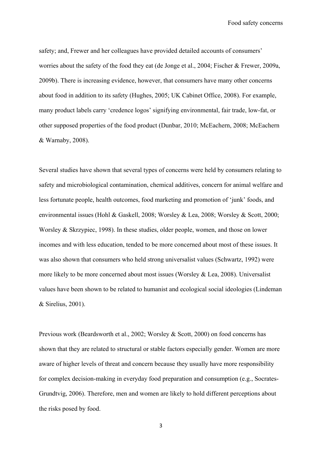safety; and, Frewer and her colleagues have provided detailed accounts of consumers' worries about the safety of the food they eat (de Jonge et al., 2004; Fischer & Frewer, 2009a, 2009b). There is increasing evidence, however, that consumers have many other concerns about food in addition to its safety (Hughes, 2005; UK Cabinet Office, 2008). For example, many product labels carry 'credence logos' signifying environmental, fair trade, low-fat, or other supposed properties of the food product (Dunbar, 2010; McEachern, 2008; McEachern & Warnaby, 2008).

Several studies have shown that several types of concerns were held by consumers relating to safety and microbiological contamination, chemical additives, concern for animal welfare and less fortunate people, health outcomes, food marketing and promotion of 'junk' foods, and environmental issues (Hohl & Gaskell, 2008; Worsley & Lea, 2008; Worsley & Scott, 2000; Worsley & Skrzypiec, 1998). In these studies, older people, women, and those on lower incomes and with less education, tended to be more concerned about most of these issues. It was also shown that consumers who held strong universalist values (Schwartz, 1992) were more likely to be more concerned about most issues (Worsley & Lea, 2008). Universalist values have been shown to be related to humanist and ecological social ideologies (Lindeman & Sirelius, 2001).

Previous work (Beardsworth et al., 2002; Worsley & Scott, 2000) on food concerns has shown that they are related to structural or stable factors especially gender. Women are more aware of higher levels of threat and concern because they usually have more responsibility for complex decision-making in everyday food preparation and consumption (e.g., Socrates-Grundtvig, 2006). Therefore, men and women are likely to hold different perceptions about the risks posed by food.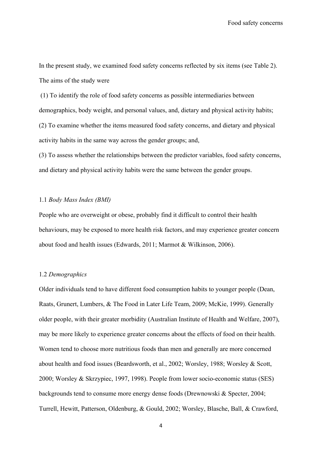In the present study, we examined food safety concerns reflected by six items (see Table 2). The aims of the study were

 (1) To identify the role of food safety concerns as possible intermediaries between demographics, body weight, and personal values, and, dietary and physical activity habits; (2) To examine whether the items measured food safety concerns, and dietary and physical activity habits in the same way across the gender groups; and,

(3) To assess whether the relationships between the predictor variables, food safety concerns, and dietary and physical activity habits were the same between the gender groups.

# 1.1 *Body Mass Index (BMI)*

People who are overweight or obese, probably find it difficult to control their health behaviours, may be exposed to more health risk factors, and may experience greater concern about food and health issues (Edwards, 2011; Marmot & Wilkinson, 2006).

# 1.2 *Demographics*

Older individuals tend to have different food consumption habits to younger people (Dean, Raats, Grunert, Lumbers, & The Food in Later Life Team, 2009; McKie, 1999). Generally older people, with their greater morbidity (Australian Institute of Health and Welfare, 2007), may be more likely to experience greater concerns about the effects of food on their health. Women tend to choose more nutritious foods than men and generally are more concerned about health and food issues (Beardsworth, et al., 2002; Worsley, 1988; Worsley & Scott, 2000; Worsley & Skrzypiec, 1997, 1998). People from lower socio-economic status (SES) backgrounds tend to consume more energy dense foods (Drewnowski & Specter, 2004; Turrell, Hewitt, Patterson, Oldenburg, & Gould, 2002; Worsley, Blasche, Ball, & Crawford,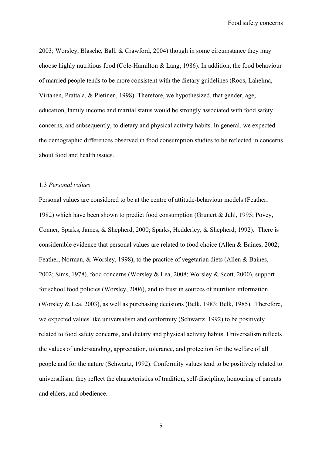2003; Worsley, Blasche, Ball, & Crawford, 2004) though in some circumstance they may choose highly nutritious food (Cole-Hamilton & Lang, 1986). In addition, the food behaviour of married people tends to be more consistent with the dietary guidelines (Roos, Lahelma, Virtanen, Prattala, & Pietinen, 1998). Therefore, we hypothesized, that gender, age, education, family income and marital status would be strongly associated with food safety concerns, and subsequently, to dietary and physical activity habits. In general, we expected the demographic differences observed in food consumption studies to be reflected in concerns about food and health issues.

### 1.3 *Personal values*

Personal values are considered to be at the centre of attitude-behaviour models (Feather, 1982) which have been shown to predict food consumption (Grunert & Juhl, 1995; Povey, Conner, Sparks, James, & Shepherd, 2000; Sparks, Hedderley, & Shepherd, 1992). There is considerable evidence that personal values are related to food choice (Allen & Baines, 2002; Feather, Norman, & Worsley, 1998), to the practice of vegetarian diets (Allen & Baines, 2002; Sims, 1978), food concerns (Worsley & Lea, 2008; Worsley & Scott, 2000), support for school food policies (Worsley, 2006), and to trust in sources of nutrition information (Worsley & Lea, 2003), as well as purchasing decisions (Belk, 1983; Belk, 1985). Therefore, we expected values like universalism and conformity (Schwartz, 1992) to be positively related to food safety concerns, and dietary and physical activity habits. Universalism reflects the values of understanding, appreciation, tolerance, and protection for the welfare of all people and for the nature (Schwartz, 1992). Conformity values tend to be positively related to universalism; they reflect the characteristics of tradition, self-discipline, honouring of parents and elders, and obedience.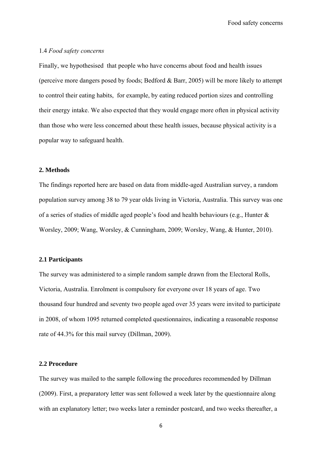### 1.4 *Food safety concerns*

Finally, we hypothesised that people who have concerns about food and health issues (perceive more dangers posed by foods; Bedford & Barr, 2005) will be more likely to attempt to control their eating habits, for example, by eating reduced portion sizes and controlling their energy intake. We also expected that they would engage more often in physical activity than those who were less concerned about these health issues, because physical activity is a popular way to safeguard health.

# **2. Methods**

The findings reported here are based on data from middle-aged Australian survey, a random population survey among 38 to 79 year olds living in Victoria, Australia. This survey was one of a series of studies of middle aged people's food and health behaviours (e.g., Hunter & Worsley, 2009; Wang, Worsley, & Cunningham, 2009; Worsley, Wang, & Hunter, 2010).

#### **2.1 Participants**

The survey was administered to a simple random sample drawn from the Electoral Rolls, Victoria, Australia. Enrolment is compulsory for everyone over 18 years of age. Two thousand four hundred and seventy two people aged over 35 years were invited to participate in 2008, of whom 1095 returned completed questionnaires, indicating a reasonable response rate of 44.3% for this mail survey (Dillman, 2009).

# **2.2 Procedure**

The survey was mailed to the sample following the procedures recommended by Dillman (2009). First, a preparatory letter was sent followed a week later by the questionnaire along with an explanatory letter; two weeks later a reminder postcard, and two weeks thereafter, a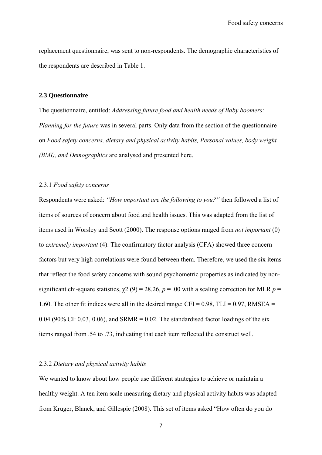replacement questionnaire, was sent to non-respondents. The demographic characteristics of the respondents are described in Table 1.

### **2.3 Questionnaire**

The questionnaire, entitled: *Addressing future food and health needs of Baby boomers: Planning for the future* was in several parts. Only data from the section of the questionnaire on *Food safety concerns, dietary and physical activity habits, Personal values, body weight (BMI), and Demographics* are analysed and presented here.

### 2.3.1 *Food safety concerns*

Respondents were asked: *"How important are the following to you?"* then followed a list of items of sources of concern about food and health issues. This was adapted from the list of items used in Worsley and Scott (2000). The response options ranged from *not important* (0) to *extremely important* (4). The confirmatory factor analysis (CFA) showed three concern factors but very high correlations were found between them. Therefore, we used the six items that reflect the food safety concerns with sound psychometric properties as indicated by nonsignificant chi-square statistics,  $\chi$ 2 (9) = 28.26, *p* = .00 with a scaling correction for MLR *p* = 1.60. The other fit indices were all in the desired range:  $CFI = 0.98$ ,  $TLI = 0.97$ , RMSEA = 0.04 (90% CI: 0.03, 0.06), and SRMR = 0.02. The standardised factor loadings of the six items ranged from .54 to .73, indicating that each item reflected the construct well.

# 2.3.2 *Dietary and physical activity habits*

We wanted to know about how people use different strategies to achieve or maintain a healthy weight. A ten item scale measuring dietary and physical activity habits was adapted from Kruger, Blanck, and Gillespie (2008). This set of items asked "How often do you do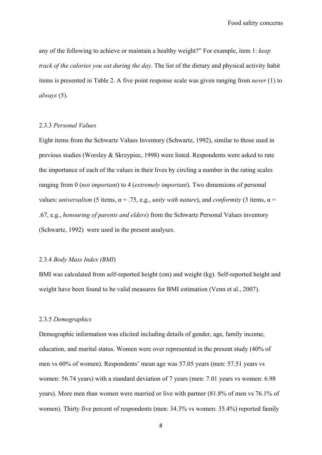any of the following to achieve or maintain a healthy weight?" For example, item 1: *keep track of the calories you eat during the day*. The list of the dietary and physical activity habit items is presented in Table 2. A five point response scale was given ranging from *never* (1) to *always* (5).

# 2.3.3 *Personal Values*

Eight items from the Schwartz Values Inventory (Schwartz, 1992), similar to those used in previous studies (Worsley & Skrzypiec, 1998) were listed. Respondents were asked to rate the importance of each of the values in their lives by circling a number in the rating scales ranging from 0 (*not important*) to 4 (*extremely important*). Two dimensions of personal values: *universalism* (5 items,  $\alpha = 0.75$ , e.g., *unity with nature*), and *conformity* (3 items,  $\alpha =$ .67, e.g., *honouring of parents and elders*) from the Schwartz Personal Values inventory (Schwartz, 1992) were used in the present analyses.

# 2.3.4 *Body Mass Index (BMI*)

BMI was calculated from self-reported height (cm) and weight (kg). Self-reported height and weight have been found to be valid measures for BMI estimation (Venn et al., 2007).

#### 2.3.5 *Demographics*

Demographic information was elicited including details of gender, age, family income, education, and marital status. Women were over represented in the present study (40% of men vs 60% of women). Respondents' mean age was 57.05 years (men: 57.51 years vs women: 56.74 years) with a standard deviation of 7 years (men: 7.01 years vs women: 6.98 years). More men than women were married or live with partner (81.8% of men vs 76.1% of women). Thirty five percent of respondents (men: 34.3% vs women: 35.4%) reported family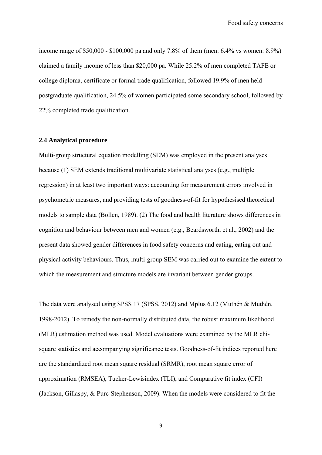income range of \$50,000 - \$100,000 pa and only 7.8% of them (men: 6.4% vs women: 8.9%) claimed a family income of less than \$20,000 pa. While 25.2% of men completed TAFE or college diploma, certificate or formal trade qualification, followed 19.9% of men held postgraduate qualification, 24.5% of women participated some secondary school, followed by 22% completed trade qualification.

### **2.4 Analytical procedure**

Multi-group structural equation modelling (SEM) was employed in the present analyses because (1) SEM extends traditional multivariate statistical analyses (e.g., multiple regression) in at least two important ways: accounting for measurement errors involved in psychometric measures, and providing tests of goodness-of-fit for hypothesised theoretical models to sample data (Bollen, 1989). (2) The food and health literature shows differences in cognition and behaviour between men and women (e.g., Beardsworth, et al., 2002) and the present data showed gender differences in food safety concerns and eating, eating out and physical activity behaviours. Thus, multi-group SEM was carried out to examine the extent to which the measurement and structure models are invariant between gender groups.

The data were analysed using SPSS 17 (SPSS, 2012) and Mplus 6.12 (Muthén & Muthén, 1998-2012). To remedy the non-normally distributed data, the robust maximum likelihood (MLR) estimation method was used. Model evaluations were examined by the MLR chisquare statistics and accompanying significance tests. Goodness-of-fit indices reported here are the standardized root mean square residual (SRMR), root mean square error of approximation (RMSEA), Tucker-Lewisindex (TLI), and Comparative fit index (CFI) (Jackson, Gillaspy, & Purc-Stephenson, 2009). When the models were considered to fit the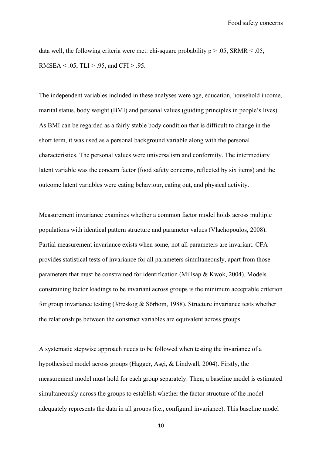data well, the following criteria were met: chi-square probability  $p > 0.05$ , SRMR < .05, RMSEA < .05, TLI > .95, and CFI > .95.

The independent variables included in these analyses were age, education, household income, marital status, body weight (BMI) and personal values (guiding principles in people's lives). As BMI can be regarded as a fairly stable body condition that is difficult to change in the short term, it was used as a personal background variable along with the personal characteristics. The personal values were universalism and conformity. The intermediary latent variable was the concern factor (food safety concerns, reflected by six items) and the outcome latent variables were eating behaviour, eating out, and physical activity.

Measurement invariance examines whether a common factor model holds across multiple populations with identical pattern structure and parameter values (Vlachopoulos, 2008). Partial measurement invariance exists when some, not all parameters are invariant. CFA provides statistical tests of invariance for all parameters simultaneously, apart from those parameters that must be constrained for identification (Millsap & Kwok, 2004). Models constraining factor loadings to be invariant across groups is the minimum acceptable criterion for group invariance testing (Jöreskog & Sörbom, 1988). Structure invariance tests whether the relationships between the construct variables are equivalent across groups.

A systematic stepwise approach needs to be followed when testing the invariance of a hypothesised model across groups (Hagger, Asçi, & Lindwall, 2004). Firstly, the measurement model must hold for each group separately. Then, a baseline model is estimated simultaneously across the groups to establish whether the factor structure of the model adequately represents the data in all groups (i.e., configural invariance). This baseline model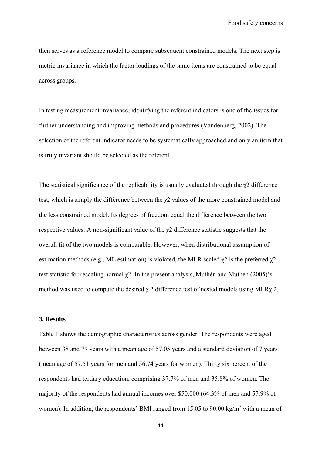then serves as a reference model to compare subsequent constrained models. The next step is metric invariance in which the factor loadings of the same items are constrained to be equal across groups.

In testing measurement invariance, identifying the referent indicators is one of the issues for further understanding and improving methods and procedures (Vandenberg, 2002). The selection of the referent indicator needs to be systematically approached and only an item that is truly invariant should be selected as the referent.

The statistical significance of the replicability is usually evaluated through the  $\chi$ 2 difference test, which is simply the difference between the χ2 values of the more constrained model and the less constrained model. Its degrees of freedom equal the difference between the two respective values. A non-significant value of the  $\chi$ 2 difference statistic suggests that the overall fit of the two models is comparable. However, when distributional assumption of estimation methods (e.g., ML estimation) is violated, the MLR scaled  $\chi$ 2 is the preferred  $\chi$ 2 test statistic for rescaling normal χ2. In the present analysis, Muthén and Muthén (2005)'s method was used to compute the desired  $\chi$  2 difference test of nested models using MLR $\chi$  2.

### **3. Results**

Table 1 shows the demographic characteristics across gender. The respondents were aged between 38 and 79 years with a mean age of 57.05 years and a standard deviation of 7 years (mean age of 57.51 years for men and 56.74 years for women). Thirty six percent of the respondents had tertiary education, comprising 37.7% of men and 35.8% of women. The majority of the respondents had annual incomes over \$50,000 (64.3% of men and 57.9% of women). In addition, the respondents' BMI ranged from 15.05 to 90.00 kg/m<sup>2</sup> with a mean of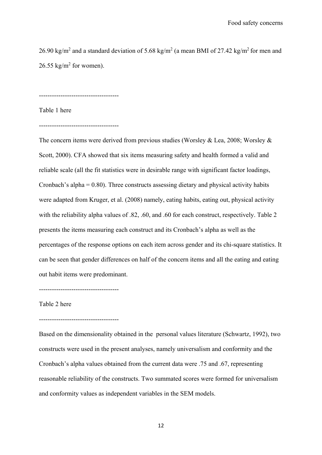26.90 kg/m<sup>2</sup> and a standard deviation of 5.68 kg/m<sup>2</sup> (a mean BMI of 27.42 kg/m<sup>2</sup> for men and  $26.55 \text{ kg/m}^2$  for women).

-------------------------------------

Table 1 here

-------------------------------------

The concern items were derived from previous studies (Worsley & Lea, 2008; Worsley & Scott, 2000). CFA showed that six items measuring safety and health formed a valid and reliable scale (all the fit statistics were in desirable range with significant factor loadings, Cronbach's alpha = 0.80). Three constructs assessing dietary and physical activity habits were adapted from Kruger, et al. (2008) namely, eating habits, eating out, physical activity with the reliability alpha values of .82, .60, and .60 for each construct, respectively. Table 2 presents the items measuring each construct and its Cronbach's alpha as well as the percentages of the response options on each item across gender and its chi-square statistics. It can be seen that gender differences on half of the concern items and all the eating and eating out habit items were predominant.

-------------------------------------

Table 2 here

#### -------------------------------------

Based on the dimensionality obtained in the personal values literature (Schwartz, 1992), two constructs were used in the present analyses, namely universalism and conformity and the Cronbach's alpha values obtained from the current data were .75 and .67, representing reasonable reliability of the constructs. Two summated scores were formed for universalism and conformity values as independent variables in the SEM models.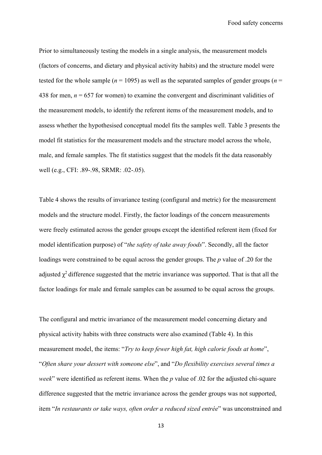Prior to simultaneously testing the models in a single analysis, the measurement models (factors of concerns, and dietary and physical activity habits) and the structure model were tested for the whole sample ( $n = 1095$ ) as well as the separated samples of gender groups ( $n =$ 438 for men,  $n = 657$  for women) to examine the convergent and discriminant validities of the measurement models, to identify the referent items of the measurement models, and to assess whether the hypothesised conceptual model fits the samples well. Table 3 presents the model fit statistics for the measurement models and the structure model across the whole, male, and female samples. The fit statistics suggest that the models fit the data reasonably well (e.g., CFI: .89-.98, SRMR: .02-.05).

Table 4 shows the results of invariance testing (configural and metric) for the measurement models and the structure model. Firstly, the factor loadings of the concern measurements were freely estimated across the gender groups except the identified referent item (fixed for model identification purpose) of "*the safety of take away foods*". Secondly, all the factor loadings were constrained to be equal across the gender groups. The *p* value of .20 for the adjusted  $\chi^2$  difference suggested that the metric invariance was supported. That is that all the factor loadings for male and female samples can be assumed to be equal across the groups.

The configural and metric invariance of the measurement model concerning dietary and physical activity habits with three constructs were also examined (Table 4). In this measurement model, the items: "*Try to keep fewer high fat, high calorie foods at home*", "*Often share your dessert with someone else*", and "*Do flexibility exercises several times a week*" were identified as referent items. When the *p* value of .02 for the adjusted chi-square difference suggested that the metric invariance across the gender groups was not supported, item "*In restaurants or take ways, often order a reduced sized entrée*" was unconstrained and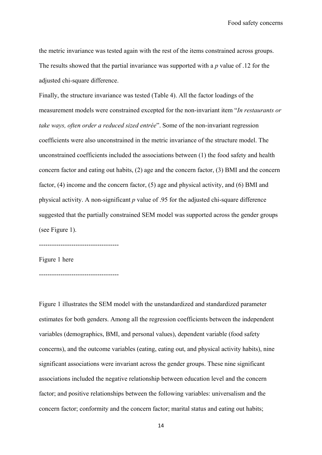the metric invariance was tested again with the rest of the items constrained across groups. The results showed that the partial invariance was supported with a *p* value of .12 for the adjusted chi-square difference.

Finally, the structure invariance was tested (Table 4). All the factor loadings of the measurement models were constrained excepted for the non-invariant item "*In restaurants or take ways, often order a reduced sized entrée*". Some of the non-invariant regression coefficients were also unconstrained in the metric invariance of the structure model. The unconstrained coefficients included the associations between (1) the food safety and health concern factor and eating out habits, (2) age and the concern factor, (3) BMI and the concern factor, (4) income and the concern factor, (5) age and physical activity, and (6) BMI and physical activity. A non-significant *p* value of .95 for the adjusted chi-square difference suggested that the partially constrained SEM model was supported across the gender groups (see Figure 1).

-------------------------------------

Figure 1 here

-------------------------------------

Figure 1 illustrates the SEM model with the unstandardized and standardized parameter estimates for both genders. Among all the regression coefficients between the independent variables (demographics, BMI, and personal values), dependent variable (food safety concerns), and the outcome variables (eating, eating out, and physical activity habits), nine significant associations were invariant across the gender groups. These nine significant associations included the negative relationship between education level and the concern factor; and positive relationships between the following variables: universalism and the concern factor; conformity and the concern factor; marital status and eating out habits;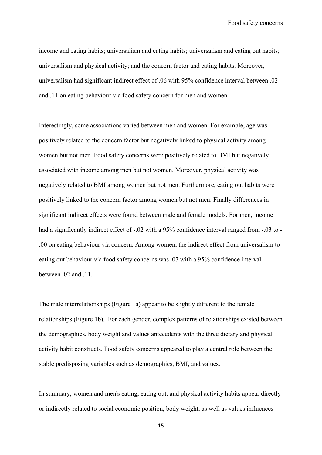income and eating habits; universalism and eating habits; universalism and eating out habits; universalism and physical activity; and the concern factor and eating habits. Moreover, universalism had significant indirect effect of .06 with 95% confidence interval between .02 and .11 on eating behaviour via food safety concern for men and women.

Interestingly, some associations varied between men and women. For example, age was positively related to the concern factor but negatively linked to physical activity among women but not men. Food safety concerns were positively related to BMI but negatively associated with income among men but not women. Moreover, physical activity was negatively related to BMI among women but not men. Furthermore, eating out habits were positively linked to the concern factor among women but not men. Finally differences in significant indirect effects were found between male and female models. For men, income had a significantly indirect effect of -.02 with a 95% confidence interval ranged from -.03 to -.00 on eating behaviour via concern. Among women, the indirect effect from universalism to eating out behaviour via food safety concerns was .07 with a 95% confidence interval between .02 and .11.

The male interrelationships (Figure 1a) appear to be slightly different to the female relationships (Figure 1b). For each gender, complex patterns of relationships existed between the demographics, body weight and values antecedents with the three dietary and physical activity habit constructs. Food safety concerns appeared to play a central role between the stable predisposing variables such as demographics, BMI, and values.

In summary, women and men's eating, eating out, and physical activity habits appear directly or indirectly related to social economic position, body weight, as well as values influences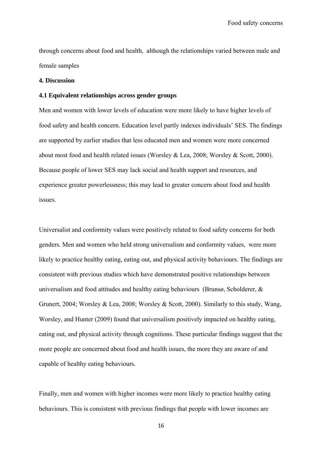through concerns about food and health, although the relationships varied between male and female samples

### **4. Discussion**

#### **4.1 Equivalent relationships across gender groups**

Men and women with lower levels of education were more likely to have higher levels of food safety and health concern. Education level partly indexes individuals' SES. The findings are supported by earlier studies that less educated men and women were more concerned about most food and health related issues (Worsley & Lea, 2008; Worsley & Scott, 2000). Because people of lower SES may lack social and health support and resources, and experience greater powerlessness; this may lead to greater concern about food and health issues.

Universalist and conformity values were positively related to food safety concerns for both genders. Men and women who held strong universalism and conformity values, were more likely to practice healthy eating, eating out, and physical activity behaviours. The findings are consistent with previous studies which have demonstrated positive relationships between universalism and food attitudes and healthy eating behaviours (Brunsø, Scholderer, & Grunert, 2004; Worsley & Lea, 2008; Worsley & Scott, 2000). Similarly to this study, Wang, Worsley, and Hunter (2009) found that universalism positively impacted on healthy eating, eating out, and physical activity through cognitions. These particular findings suggest that the more people are concerned about food and health issues, the more they are aware of and capable of healthy eating behaviours.

Finally, men and women with higher incomes were more likely to practice healthy eating behaviours. This is consistent with previous findings that people with lower incomes are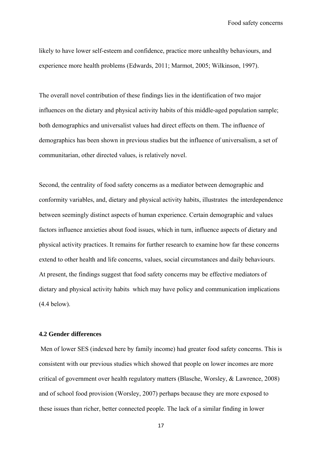likely to have lower self-esteem and confidence, practice more unhealthy behaviours, and experience more health problems (Edwards, 2011; Marmot, 2005; Wilkinson, 1997).

The overall novel contribution of these findings lies in the identification of two major influences on the dietary and physical activity habits of this middle-aged population sample; both demographics and universalist values had direct effects on them. The influence of demographics has been shown in previous studies but the influence of universalism, a set of communitarian, other directed values, is relatively novel.

Second, the centrality of food safety concerns as a mediator between demographic and conformity variables, and, dietary and physical activity habits, illustrates the interdependence between seemingly distinct aspects of human experience. Certain demographic and values factors influence anxieties about food issues, which in turn, influence aspects of dietary and physical activity practices. It remains for further research to examine how far these concerns extend to other health and life concerns, values, social circumstances and daily behaviours. At present, the findings suggest that food safety concerns may be effective mediators of dietary and physical activity habits which may have policy and communication implications (4.4 below).

# **4.2 Gender differences**

 Men of lower SES (indexed here by family income) had greater food safety concerns. This is consistent with our previous studies which showed that people on lower incomes are more critical of government over health regulatory matters (Blasche, Worsley, & Lawrence, 2008) and of school food provision (Worsley, 2007) perhaps because they are more exposed to these issues than richer, better connected people. The lack of a similar finding in lower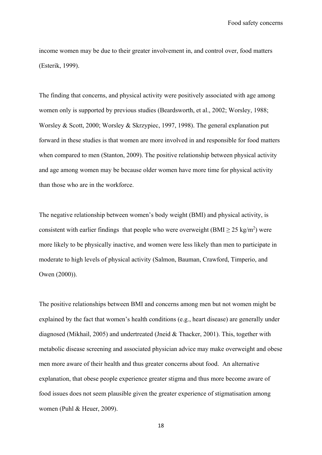income women may be due to their greater involvement in, and control over, food matters (Esterik, 1999).

The finding that concerns, and physical activity were positively associated with age among women only is supported by previous studies (Beardsworth, et al., 2002; Worsley, 1988; Worsley & Scott, 2000; Worsley & Skrzypiec, 1997, 1998). The general explanation put forward in these studies is that women are more involved in and responsible for food matters when compared to men (Stanton, 2009). The positive relationship between physical activity and age among women may be because older women have more time for physical activity than those who are in the workforce.

The negative relationship between women's body weight (BMI) and physical activity, is consistent with earlier findings that people who were overweight ( $\text{BMI} \geq 25 \text{ kg/m}^2$ ) were more likely to be physically inactive, and women were less likely than men to participate in moderate to high levels of physical activity (Salmon, Bauman, Crawford, Timperio, and Owen (2000)).

The positive relationships between BMI and concerns among men but not women might be explained by the fact that women's health conditions (e.g., heart disease) are generally under diagnosed (Mikhail, 2005) and undertreated (Jneid & Thacker, 2001). This, together with metabolic disease screening and associated physician advice may make overweight and obese men more aware of their health and thus greater concerns about food. An alternative explanation, that obese people experience greater stigma and thus more become aware of food issues does not seem plausible given the greater experience of stigmatisation among women (Puhl & Heuer, 2009).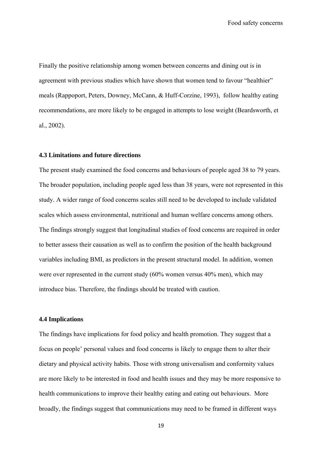Finally the positive relationship among women between concerns and dining out is in agreement with previous studies which have shown that women tend to favour "healthier" meals (Rappoport, Peters, Downey, McCann, & Huff-Corzine, 1993), follow healthy eating recommendations, are more likely to be engaged in attempts to lose weight (Beardsworth, et al., 2002).

### **4.3 Limitations and future directions**

The present study examined the food concerns and behaviours of people aged 38 to 79 years. The broader population, including people aged less than 38 years, were not represented in this study. A wider range of food concerns scales still need to be developed to include validated scales which assess environmental, nutritional and human welfare concerns among others. The findings strongly suggest that longitudinal studies of food concerns are required in order to better assess their causation as well as to confirm the position of the health background variables including BMI, as predictors in the present structural model. In addition, women were over represented in the current study (60% women versus 40% men), which may introduce bias. Therefore, the findings should be treated with caution.

# **4.4 Implications**

The findings have implications for food policy and health promotion. They suggest that a focus on people' personal values and food concerns is likely to engage them to alter their dietary and physical activity habits. Those with strong universalism and conformity values are more likely to be interested in food and health issues and they may be more responsive to health communications to improve their healthy eating and eating out behaviours. More broadly, the findings suggest that communications may need to be framed in different ways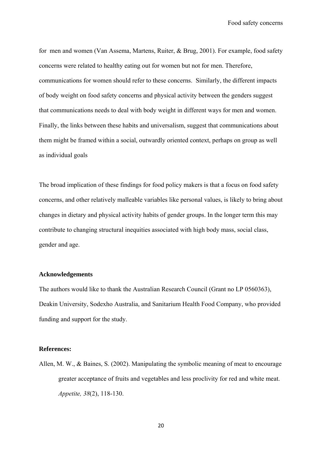for men and women (Van Assema, Martens, Ruiter, & Brug, 2001). For example, food safety concerns were related to healthy eating out for women but not for men. Therefore, communications for women should refer to these concerns. Similarly, the different impacts of body weight on food safety concerns and physical activity between the genders suggest that communications needs to deal with body weight in different ways for men and women. Finally, the links between these habits and universalism, suggest that communications about them might be framed within a social, outwardly oriented context, perhaps on group as well as individual goals

The broad implication of these findings for food policy makers is that a focus on food safety concerns, and other relatively malleable variables like personal values, is likely to bring about changes in dietary and physical activity habits of gender groups. In the longer term this may contribute to changing structural inequities associated with high body mass, social class, gender and age.

# **Acknowledgements**

The authors would like to thank the Australian Research Council (Grant no LP 0560363), Deakin University, Sodexho Australia, and Sanitarium Health Food Company, who provided funding and support for the study.

#### **References:**

Allen, M. W., & Baines, S. (2002). Manipulating the symbolic meaning of meat to encourage greater acceptance of fruits and vegetables and less proclivity for red and white meat. *Appetite, 38*(2), 118-130.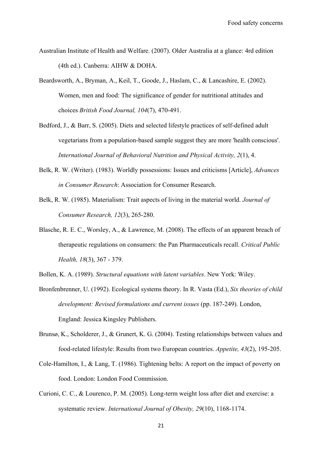- Australian Institute of Health and Welfare. (2007). Older Australia at a glance: 4rd edition (4th ed.). Canberra: AIHW & DOHA.
- Beardsworth, A., Bryman, A., Keil, T., Goode, J., Haslam, C., & Lancashire, E. (2002). Women, men and food: The significance of gender for nutritional attitudes and choices *British Food Journal, 104*(7), 470-491.
- Bedford, J., & Barr, S. (2005). Diets and selected lifestyle practices of self-defined adult vegetarians from a population-based sample suggest they are more 'health conscious'. *International Journal of Behavioral Nutrition and Physical Activity, 2*(1), 4.
- Belk, R. W. (Writer). (1983). Worldly possessions: Issues and criticisms [Article], *Advances in Consumer Research*: Association for Consumer Research.
- Belk, R. W. (1985). Materialism: Trait aspects of living in the material world. *Journal of Consumer Research, 12*(3), 265-280.
- Blasche, R. E. C., Worsley, A., & Lawrence, M. (2008). The effects of an apparent breach of therapeutic regulations on consumers: the Pan Pharmaceuticals recall. *Critical Public Health, 18*(3), 367 - 379.
- Bollen, K. A. (1989). *Structural equations with latent variables*. New York: Wiley.
- Bronfenbrenner, U. (1992). Ecological systems theory. In R. Vasta (Ed.), *Six theories of child development: Revised formulations and current issues* (pp. 187-249). London, England: Jessica Kingsley Publishers.
- Brunsø, K., Scholderer, J., & Grunert, K. G. (2004). Testing relationships between values and food-related lifestyle: Results from two European countries. *Appetite, 43*(2), 195-205.
- Cole-Hamilton, I., & Lang, T. (1986). Tightening belts: A report on the impact of poverty on food. London: London Food Commission.
- Curioni, C. C., & Lourenco, P. M. (2005). Long-term weight loss after diet and exercise: a systematic review. *International Journal of Obesity, 29*(10), 1168-1174.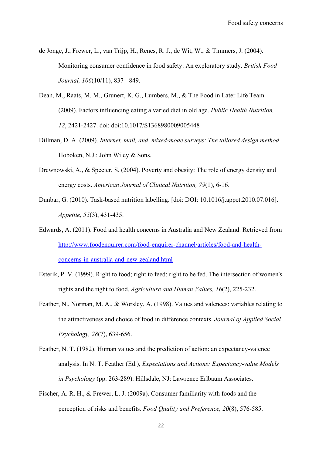de Jonge, J., Frewer, L., van Trijp, H., Renes, R. J., de Wit, W., & Timmers, J. (2004). Monitoring consumer confidence in food safety: An exploratory study. *British Food Journal, 106*(10/11), 837 - 849.

- Dean, M., Raats, M. M., Grunert, K. G., Lumbers, M., & The Food in Later Life Team. (2009). Factors influencing eating a varied diet in old age. *Public Health Nutrition, 12*, 2421-2427. doi: doi:10.1017/S1368980009005448
- Dillman, D. A. (2009). *Internet, mail, and mixed-mode surveys: The tailored design method*. Hoboken, N.J.: John Wiley & Sons.
- Drewnowski, A., & Specter, S. (2004). Poverty and obesity: The role of energy density and energy costs. *American Journal of Clinical Nutrition, 79*(1), 6-16.
- Dunbar, G. (2010). Task-based nutrition labelling. [doi: DOI: 10.1016/j.appet.2010.07.016]. *Appetite, 55*(3), 431-435.
- Edwards, A. (2011). Food and health concerns in Australia and New Zealand. Retrieved from http://www.foodenquirer.com/food-enquirer-channel/articles/food-and-healthconcerns-in-australia-and-new-zealand.html
- Esterik, P. V. (1999). Right to food; right to feed; right to be fed. The intersection of women's rights and the right to food. *Agriculture and Human Values, 16*(2), 225-232.
- Feather, N., Norman, M. A., & Worsley, A. (1998). Values and valences: variables relating to the attractiveness and choice of food in difference contexts. *Journal of Applied Social Psychology, 28*(7), 639-656.
- Feather, N. T. (1982). Human values and the prediction of action: an expectancy-valence analysis. In N. T. Feather (Ed.), *Expectations and Actions: Expectancy-value Models in Psychology* (pp. 263-289). Hillsdale, NJ: Lawrence Erlbaum Associates.
- Fischer, A. R. H., & Frewer, L. J. (2009a). Consumer familiarity with foods and the perception of risks and benefits. *Food Quality and Preference, 20*(8), 576-585.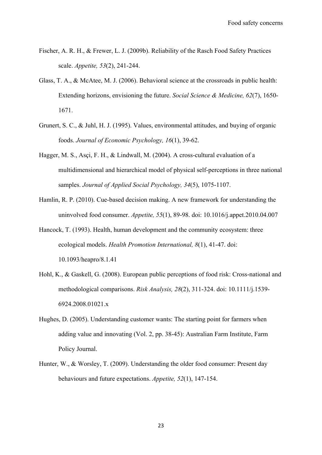- Fischer, A. R. H., & Frewer, L. J. (2009b). Reliability of the Rasch Food Safety Practices scale. *Appetite, 53*(2), 241-244.
- Glass, T. A., & McAtee, M. J. (2006). Behavioral science at the crossroads in public health: Extending horizons, envisioning the future. *Social Science & Medicine, 62*(7), 1650- 1671.
- Grunert, S. C., & Juhl, H. J. (1995). Values, environmental attitudes, and buying of organic foods. *Journal of Economic Psychology, 16*(1), 39-62.
- Hagger, M. S., Asçi, F. H., & Lindwall, M. (2004). A cross-cultural evaluation of a multidimensional and hierarchical model of physical self-perceptions in three national samples. *Journal of Applied Social Psychology, 34*(5), 1075-1107.
- Hamlin, R. P. (2010). Cue-based decision making. A new framework for understanding the uninvolved food consumer. *Appetite, 55*(1), 89-98. doi: 10.1016/j.appet.2010.04.007
- Hancock, T. (1993). Health, human development and the community ecosystem: three ecological models. *Health Promotion International, 8*(1), 41-47. doi: 10.1093/heapro/8.1.41
- Hohl, K., & Gaskell, G. (2008). European public perceptions of food risk: Cross-national and methodological comparisons. *Risk Analysis, 28*(2), 311-324. doi: 10.1111/j.1539- 6924.2008.01021.x
- Hughes, D. (2005). Understanding customer wants: The starting point for farmers when adding value and innovating (Vol. 2, pp. 38-45): Australian Farm Institute, Farm Policy Journal.
- Hunter, W., & Worsley, T. (2009). Understanding the older food consumer: Present day behaviours and future expectations. *Appetite, 52*(1), 147-154.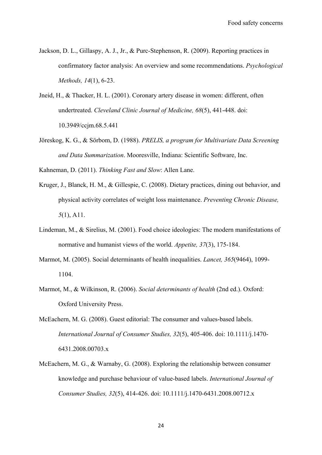- Jackson, D. L., Gillaspy, A. J., Jr., & Purc-Stephenson, R. (2009). Reporting practices in confirmatory factor analysis: An overview and some recommendations. *Psychological Methods, 14*(1), 6-23.
- Jneid, H., & Thacker, H. L. (2001). Coronary artery disease in women: different, often undertreated. *Cleveland Clinic Journal of Medicine, 68*(5), 441-448. doi: 10.3949/ccjm.68.5.441
- Jöreskog, K. G., & Sörbom, D. (1988). *PRELIS, a program for Multivariate Data Screening and Data Summarization*. Mooresville, Indiana: Scientific Software, Inc.
- Kahneman, D. (2011). *Thinking Fast and Slow*: Allen Lane.
- Kruger, J., Blanck, H. M., & Gillespie, C. (2008). Dietary practices, dining out behavior, and physical activity correlates of weight loss maintenance. *Preventing Chronic Disease, 5*(1), A11.
- Lindeman, M., & Sirelius, M. (2001). Food choice ideologies: The modern manifestations of normative and humanist views of the world. *Appetite, 37*(3), 175-184.
- Marmot, M. (2005). Social determinants of health inequalities. *Lancet, 365*(9464), 1099- 1104.
- Marmot, M., & Wilkinson, R. (2006). *Social determinants of health* (2nd ed.). Oxford: Oxford University Press.
- McEachern, M. G. (2008). Guest editorial: The consumer and values-based labels. *International Journal of Consumer Studies, 32*(5), 405-406. doi: 10.1111/j.1470- 6431.2008.00703.x
- McEachern, M. G., & Warnaby, G. (2008). Exploring the relationship between consumer knowledge and purchase behaviour of value-based labels. *International Journal of Consumer Studies, 32*(5), 414-426. doi: 10.1111/j.1470-6431.2008.00712.x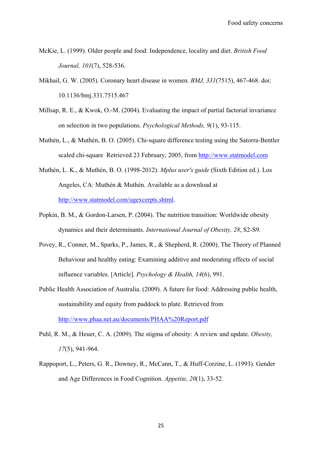- McKie, L. (1999). Older people and food: Independence, locality and diet. *British Food Journal, 101*(7), 528-536.
- Mikhail, G. W. (2005). Coronary heart disease in women. *BMJ, 331*(7515), 467-468. doi: 10.1136/bmj.331.7515.467
- Millsap, R. E., & Kwok, O.-M. (2004). Evaluating the impact of partial factorial invariance on selection in two populations. *Psychological Methods, 9*(1), 93-115.
- Muthén, L., & Muthén, B. O. (2005). Chi-square difference testing using the Satorra-Bentler scaled chi-square Retrieved 23 February, 2005, from http://www.statmodel.com
- Muthén, L. K., & Muthén, B. O. (1998-2012). *Mplus user's guide* (Sixth Edition ed.). Los Angeles, CA: Muthén & Muthén. Available as a download at http://www.statmodel.com/ugexcerpts.shtml.
- Popkin, B. M., & Gordon-Larsen, P. (2004). The nutrition transition: Worldwide obesity dynamics and their determinants. *International Journal of Obesity, 28*, S2-S9.
- Povey, R., Conner, M., Sparks, P., James, R., & Shepherd, R. (2000). The Theory of Planned Behaviour and healthy eating: Examining additive and moderating effects of social influence variables. [Article]. *Psychology & Health, 14*(6), 991.
- Public Health Association of Australia. (2009). A future for food: Addressing public health, sustainability and equity from paddock to plate. Retrieved from http://www.phaa.net.au/documents/PHAA%20Report.pdf
- Puhl, R. M., & Heuer, C. A. (2009). The stigma of obesity: A review and update. *Obesity, 17*(5), 941-964.
- Rappoport, L., Peters, G. R., Downey, R., McCann, T., & Huff-Corzine, L. (1993). Gender and Age Differences in Food Cognition. *Appetite, 20*(1), 33-52.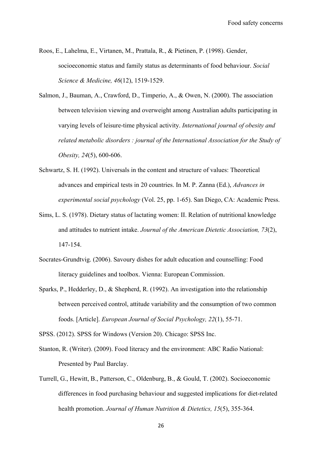- Roos, E., Lahelma, E., Virtanen, M., Prattala, R., & Pietinen, P. (1998). Gender, socioeconomic status and family status as determinants of food behaviour. *Social Science & Medicine, 46*(12), 1519-1529.
- Salmon, J., Bauman, A., Crawford, D., Timperio, A., & Owen, N. (2000). The association between television viewing and overweight among Australian adults participating in varying levels of leisure-time physical activity. *International journal of obesity and related metabolic disorders : journal of the International Association for the Study of Obesity, 24*(5), 600-606.
- Schwartz, S. H. (1992). Universals in the content and structure of values: Theoretical advances and empirical tests in 20 countries. In M. P. Zanna (Ed.), *Advances in experimental social psychology* (Vol. 25, pp. 1-65). San Diego, CA: Academic Press.
- Sims, L. S. (1978). Dietary status of lactating women: II. Relation of nutritional knowledge and attitudes to nutrient intake. *Journal of the American Dietetic Association, 73*(2), 147-154.
- Socrates-Grundtvig. (2006). Savoury dishes for adult education and counselling: Food literacy guidelines and toolbox. Vienna: European Commission.
- Sparks, P., Hedderley, D., & Shepherd, R. (1992). An investigation into the relationship between perceived control, attitude variability and the consumption of two common foods. [Article]. *European Journal of Social Psychology, 22*(1), 55-71.

SPSS. (2012). SPSS for Windows (Version 20). Chicago: SPSS Inc.

- Stanton, R. (Writer). (2009). Food literacy and the environment: ABC Radio National: Presented by Paul Barclay.
- Turrell, G., Hewitt, B., Patterson, C., Oldenburg, B., & Gould, T. (2002). Socioeconomic differences in food purchasing behaviour and suggested implications for diet-related health promotion. *Journal of Human Nutrition & Dietetics, 15*(5), 355-364.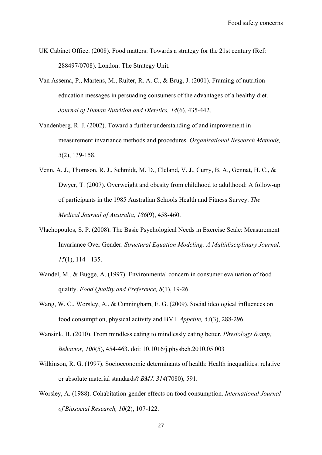- UK Cabinet Office. (2008). Food matters: Towards a strategy for the 21st century (Ref: 288497/0708). London: The Strategy Unit.
- Van Assema, P., Martens, M., Ruiter, R. A. C., & Brug, J. (2001). Framing of nutrition education messages in persuading consumers of the advantages of a healthy diet. *Journal of Human Nutrition and Dietetics, 14*(6), 435-442.
- Vandenberg, R. J. (2002). Toward a further understanding of and improvement in measurement invariance methods and procedures. *Organizational Research Methods, 5*(2), 139-158.
- Venn, A. J., Thomson, R. J., Schmidt, M. D., Cleland, V. J., Curry, B. A., Gennat, H. C., & Dwyer, T. (2007). Overweight and obesity from childhood to adulthood: A follow-up of participants in the 1985 Australian Schools Health and Fitness Survey. *The Medical Journal of Australia, 186*(9), 458-460.
- Vlachopoulos, S. P. (2008). The Basic Psychological Needs in Exercise Scale: Measurement Invariance Over Gender. *Structural Equation Modeling: A Multidisciplinary Journal, 15*(1), 114 - 135.
- Wandel, M., & Bugge, A. (1997). Environmental concern in consumer evaluation of food quality. *Food Quality and Preference, 8*(1), 19-26.
- Wang, W. C., Worsley, A., & Cunningham, E. G. (2009). Social ideological influences on food consumption, physical activity and BMI. *Appetite, 53*(3), 288-296.
- Wansink, B. (2010). From mindless eating to mindlessly eating better. *Physiology & amp*: *Behavior, 100*(5), 454-463. doi: 10.1016/j.physbeh.2010.05.003
- Wilkinson, R. G. (1997). Socioeconomic determinants of health: Health inequalities: relative or absolute material standards? *BMJ, 314*(7080), 591.
- Worsley, A. (1988). Cohabitation-gender effects on food consumption. *International Journal of Biosocial Research, 10*(2), 107-122.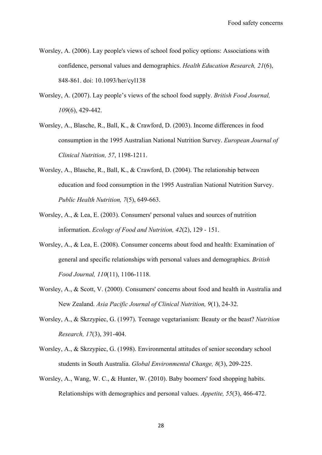- Worsley, A. (2006). Lay people's views of school food policy options: Associations with confidence, personal values and demographics. *Health Education Research, 21*(6), 848-861. doi: 10.1093/her/cyl138
- Worsley, A. (2007). Lay people's views of the school food supply. *British Food Journal, 109*(6), 429-442.
- Worsley, A., Blasche, R., Ball, K., & Crawford, D. (2003). Income differences in food consumption in the 1995 Australian National Nutrition Survey. *European Journal of Clinical Nutrition, 57*, 1198-1211.
- Worsley, A., Blasche, R., Ball, K., & Crawford, D. (2004). The relationship between education and food consumption in the 1995 Australian National Nutrition Survey. *Public Health Nutrition, 7*(5), 649-663.
- Worsley, A., & Lea, E. (2003). Consumers' personal values and sources of nutrition information. *Ecology of Food and Nutrition, 42*(2), 129 - 151.
- Worsley, A., & Lea, E. (2008). Consumer concerns about food and health: Examination of general and specific relationships with personal values and demographics. *British Food Journal, 110*(11), 1106-1118.
- Worsley, A., & Scott, V. (2000). Consumers' concerns about food and health in Australia and New Zealand. *Asia Pacific Journal of Clinical Nutrition, 9*(1), 24-32.
- Worsley, A., & Skrzypiec, G. (1997). Teenage vegetarianism: Beauty or the beast? *Nutrition Research, 17*(3), 391-404.
- Worsley, A., & Skrzypiec, G. (1998). Environmental attitudes of senior secondary school students in South Australia. *Global Environmental Change, 8*(3), 209-225.
- Worsley, A., Wang, W. C., & Hunter, W. (2010). Baby boomers' food shopping habits. Relationships with demographics and personal values. *Appetite, 55*(3), 466-472.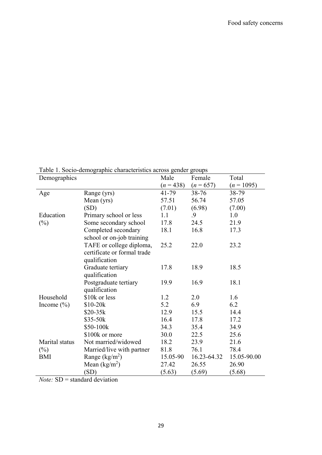Table 1. Socio-demographic characteristics across gender groups

| Demographics      |                                  | Male      | Female      | Total        |
|-------------------|----------------------------------|-----------|-------------|--------------|
|                   |                                  | $(n=438)$ | $(n = 657)$ | $(n = 1095)$ |
| Age               | Range (yrs)                      | 41-79     | 38-76       | 38-79        |
|                   | Mean (yrs)                       | 57.51     | 56.74       | 57.05        |
|                   | (SD)                             | (7.01)    | (6.98)      | (7.00)       |
| Education         | Primary school or less           | 1.1       | .9          | 1.0          |
| $(\%)$            | Some secondary school            | 17.8      | 24.5        | 21.9         |
|                   | Completed secondary              | 18.1      | 16.8        | 17.3         |
|                   | school or on-job training        |           |             |              |
|                   | TAFE or college diploma,         | 25.2      | 22.0        | 23.2         |
|                   | certificate or formal trade      |           |             |              |
|                   | qualification                    |           |             |              |
|                   | Graduate tertiary                | 17.8      | 18.9        | 18.5         |
|                   | qualification                    |           |             |              |
|                   | Postgraduate tertiary            | 19.9      | 16.9        | 18.1         |
|                   | qualification                    |           |             |              |
| Household         | \$10k or less                    | 1.2       | 2.0         | 1.6          |
| Income $(\% )$    | $$10-20k$                        | 5.2       | 6.9         | 6.2          |
|                   | $$20-35k$                        | 12.9      | 15.5        | 14.4         |
|                   | \$35-50k                         | 16.4      | 17.8        | 17.2         |
|                   | \$50-100k                        | 34.3      | 35.4        | 34.9         |
|                   | \$100k or more                   | 30.0      | 22.5        | 25.6         |
| Marital status    | Not married/widowed              | 18.2      | 23.9        | 21.6         |
| $(\%)$            | Married/live with partner        | 81.8      | 76.1        | 78.4         |
| <b>BMI</b>        | Range $(kg/m2)$                  | 15.05-90  | 16.23-64.32 | 15.05-90.00  |
|                   | Mean $(kg/m^2)$                  | 27.42     | 26.55       | 26.90        |
|                   | (SD)                             | (5.63)    | (5.69)      | (5.68)       |
| CD<br>$\lambda T$ | $1 \quad 1 \quad 1 \quad \cdots$ |           |             |              |

*Note:* SD = standard deviation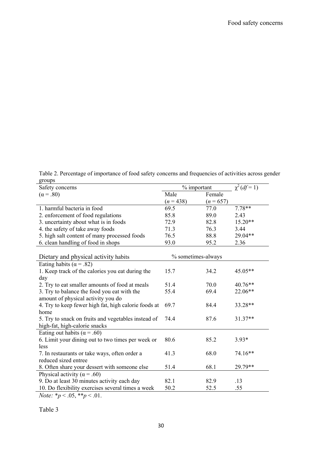Table 2. Percentage of importance of food safety concerns and frequencies of activities across gender groups

| Safety concerns                                                           | $%$ important      |             | $\chi^2(df=1)$ |
|---------------------------------------------------------------------------|--------------------|-------------|----------------|
| $(\alpha = .80)$                                                          | Male               | Female      |                |
|                                                                           | $(n=438)$          | $(n = 657)$ |                |
| 1. harmful bacteria in food                                               | 69.5               | 77.0        | $7.78**$       |
| 2. enforcement of food regulations                                        | 85.8               | 89.0        | 2.43           |
| 3. uncertainty about what is in foods                                     | 72.9               | 82.8        | 15.20**        |
| 4. the safety of take away foods                                          | 71.3               | 76.3        | 3.44           |
| 5. high salt content of many processed foods                              | 76.5               | 88.8        | 29.04**        |
| 6. clean handling of food in shops                                        | 93.0               | 95.2        | 2.36           |
|                                                                           |                    |             |                |
| Dietary and physical activity habits                                      | % sometimes-always |             |                |
| Eating habits ( $\alpha$ = .82)                                           |                    |             |                |
| 1. Keep track of the calories you eat during the                          | 15.7               | 34.2        | 45.05**        |
| day                                                                       |                    |             |                |
| 2. Try to eat smaller amounts of food at meals                            | 51.4               | 70.0        | 40.76**        |
| 3. Try to balance the food you eat with the                               | 55.4               | 69.4        | 22.06**        |
| amount of physical activity you do                                        |                    |             |                |
| 4. Try to keep fewer high fat, high calorie foods at                      | 69.7               | 84.4        | 33.28**        |
| home                                                                      |                    |             |                |
| 5. Try to snack on fruits and vegetables instead of                       | 74.4               | 87.6        | 31.37**        |
| high-fat, high-calorie snacks                                             |                    |             |                |
| Eating out habits ( $\alpha$ = .60)                                       |                    |             |                |
| 6. Limit your dining out to two times per week or                         | 80.6               | 85.2        | $3.93*$        |
| less                                                                      |                    |             |                |
| 7. In restaurants or take ways, often order a                             | 41.3               | 68.0        | 74.16**        |
| reduced sized entree                                                      |                    |             |                |
| 8. Often share your dessert with someone else                             | 51.4               | 68.1        | 29.79**        |
| Physical activity ( $\alpha$ = .60)                                       |                    |             |                |
| 9. Do at least 30 minutes activity each day                               | 82.1               | 82.9        | .13            |
| 10. Do flexibility exercises several times a week                         | 50.2               | 52.5        | .55            |
| $\lambda T$ , $\lambda r$ , $\Delta r$ , $\lambda \lambda r$ , $\Delta 1$ |                    |             |                |

*Note:*  $*_{p} < .05, **_{p} < .01$ .

Table 3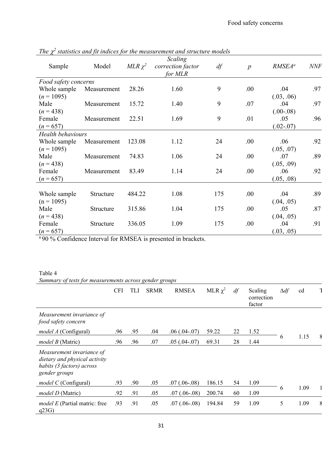|                          |             |              | Scaling           |     |                  |                    |            |
|--------------------------|-------------|--------------|-------------------|-----|------------------|--------------------|------------|
| Sample                   | Model       | $MLR \chi^2$ | correction factor | df  | $\boldsymbol{p}$ | RMSEA <sup>a</sup> | <b>NNF</b> |
|                          |             |              | for MLR           |     |                  |                    |            |
| Food safety concerns     |             |              |                   |     |                  |                    |            |
| Whole sample             | Measurement | 28.26        | 1.60              | 9   | .00              | .04                | .97        |
| $(n = 1095)$             |             |              |                   |     |                  | (.03, .06)         |            |
| Male                     | Measurement | 15.72        | 1.40              | 9   | .07              | .04                | .97        |
| $(n=438)$                |             |              |                   |     |                  | $(.00-.08)$        |            |
| Female                   | Measurement | 22.51        | 1.69              | 9   | .01              | .05                | .96        |
| $(n = 657)$              |             |              |                   |     |                  | $(.02-.07)$        |            |
| <b>Health behaviours</b> |             |              |                   |     |                  |                    |            |
| Whole sample             | Measurement | 123.08       | 1.12              | 24  | .00.             | .06                | .92        |
| $(n = 1095)$             |             |              |                   |     |                  | (.05, .07)         |            |
| Male                     | Measurement | 74.83        | 1.06              | 24  | .00              | .07                | .89        |
| $(n=438)$                |             |              |                   |     |                  | (.05, .09)         |            |
| Female                   | Measurement | 83.49        | 1.14              | 24  | .00              | .06                | .92        |
| $(n = 657)$              |             |              |                   |     |                  | (.05, .08)         |            |
|                          |             |              |                   |     |                  |                    |            |
| Whole sample             | Structure   | 484.22       | 1.08              | 175 | .00.             | .04                | .89        |
| $(n = 1095)$             |             |              |                   |     |                  | (.04, .05)         |            |
| Male                     | Structure   | 315.86       | 1.04              | 175 | .00              | .05                | .87        |
| $(n=438)$                |             |              |                   |     |                  | (.04, .05)         |            |
| Female                   | Structure   | 336.05       | 1.09              | 175 | .00.             | .04                | .91        |
| $(n = 657)$              |             |              |                   |     |                  | (.03, .05)         |            |

The  $\chi^2$  statistics and fit indices for the measurement and structure models

<sup>a</sup> 90 % Confidence Interval for RMSEA is presented in brackets.

#### Table 4

*Summary of tests for measurements across gender groups* 

|                                                                                                          | <b>CFI</b> | TLI | <b>SRMR</b> | <b>RMSEA</b>      | MLR $\chi^2$ | df | Scaling<br>correction<br>factor | $\Delta df$ | cd   |  |
|----------------------------------------------------------------------------------------------------------|------------|-----|-------------|-------------------|--------------|----|---------------------------------|-------------|------|--|
| Measurement invariance of<br>food safety concern                                                         |            |     |             |                   |              |    |                                 |             |      |  |
| <i>model A</i> (Configural)                                                                              | .96        | .95 | .04         | $.06(.04-.07)$    | 59.22        | 22 | 1.52                            |             |      |  |
| <i>model B</i> (Matric)                                                                                  | .96        | .96 | .07         | $.05(.04-.07)$    | 69.31        | 28 | 1.44                            | 6           | 1.15 |  |
| Measurement invariance of<br>dietary and physical activity<br>habits (3 factors) across<br>gender groups |            |     |             |                   |              |    |                                 |             |      |  |
| model C (Configural)                                                                                     | .93        | .90 | .05         | $.07$ $(.06-.08)$ | 186.15       | 54 | 1.09                            |             |      |  |
| <i>model D</i> (Matric)                                                                                  | .92        | .91 | .05         | $.07$ $(.06-.08)$ | 200.74       | 60 | 1.09                            | 6           | 1.09 |  |
| <i>model E</i> (Partial matric: free<br>q23G                                                             | .93        | .91 | .05         | $.07(.06-.08)$    | 194.84       | 59 | 1.09                            | 5           | 1.09 |  |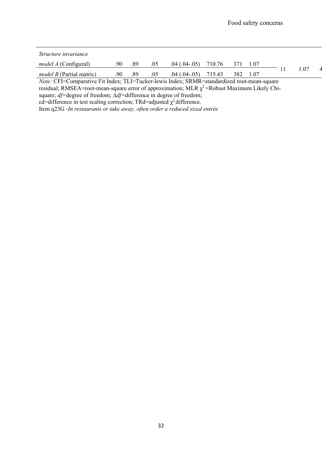| <i>Structure invariance</i>     |     |     |     |                   |        |             |     |  |
|---------------------------------|-----|-----|-----|-------------------|--------|-------------|-----|--|
| <i>model A</i> (Configural)     | 90  | .89 | .05 | $.04$ $(.04-.05)$ | 710.76 |             |     |  |
| <i>model B</i> (Partial matric) | .90 | .89 | .05 | $.04$ $(.04-.05)$ | 715.43 | 382<br>1.07 | .07 |  |

*Note:* CFI=Comparative Fit Index; TLI=Tucker-lewis Index; SRMR=standardized root-mean-square

residual; RMSEA=root-mean-square error of approximation; MLR  $\chi^2$ =Robust Maximum Likely Chi-

square; *df=*degree of freedom; ∆*df=*difference in degree of freedom;

cd=difference in test scaling correction; TRd=adjusted  $\chi^2$  difference.

Item q23G -*In restaurants or take away, often order a reduced sized entrée*